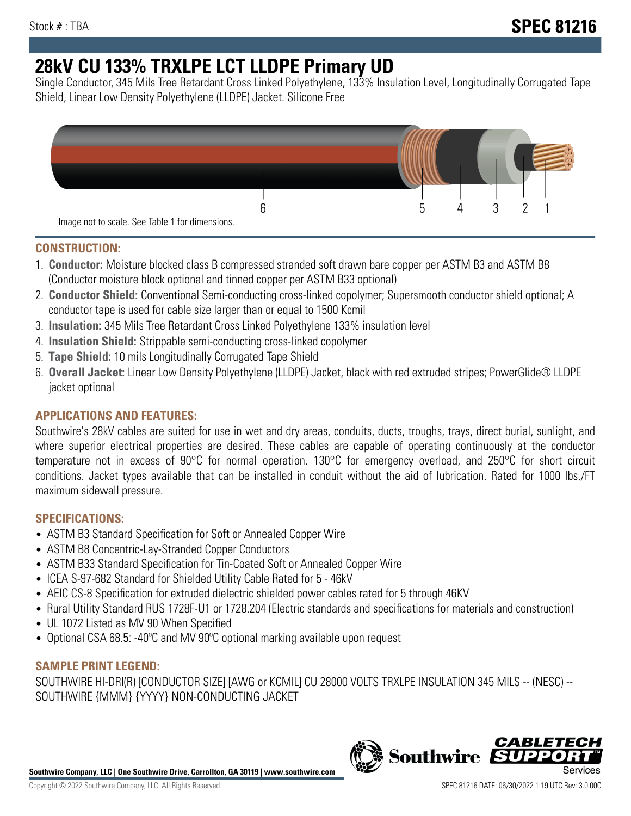# **28kV CU 133% TRXLPE LCT LLDPE Primary UD**

Single Conductor, 345 Mils Tree Retardant Cross Linked Polyethylene, 133% Insulation Level, Longitudinally Corrugated Tape Shield, Linear Low Density Polyethylene (LLDPE) Jacket. Silicone Free



## **CONSTRUCTION:**

- 1. **Conductor:** Moisture blocked class B compressed stranded soft drawn bare copper per ASTM B3 and ASTM B8 (Conductor moisture block optional and tinned copper per ASTM B33 optional)
- 2. **Conductor Shield:** Conventional Semi-conducting cross-linked copolymer; Supersmooth conductor shield optional; A conductor tape is used for cable size larger than or equal to 1500 Kcmil
- 3. **Insulation:** 345 Mils Tree Retardant Cross Linked Polyethylene 133% insulation level
- 4. **Insulation Shield:** Strippable semi-conducting cross-linked copolymer
- 5. **Tape Shield:** 10 mils Longitudinally Corrugated Tape Shield
- 6. **Overall Jacket:** Linear Low Density Polyethylene (LLDPE) Jacket, black with red extruded stripes; PowerGlide® LLDPE jacket optional

## **APPLICATIONS AND FEATURES:**

Southwire's 28kV cables are suited for use in wet and dry areas, conduits, ducts, troughs, trays, direct burial, sunlight, and where superior electrical properties are desired. These cables are capable of operating continuously at the conductor temperature not in excess of 90°C for normal operation. 130°C for emergency overload, and 250°C for short circuit conditions. Jacket types available that can be installed in conduit without the aid of lubrication. Rated for 1000 lbs./FT maximum sidewall pressure.

## **SPECIFICATIONS:**

- ASTM B3 Standard Specification for Soft or Annealed Copper Wire
- ASTM B8 Concentric-Lay-Stranded Copper Conductors
- ASTM B33 Standard Specification for Tin-Coated Soft or Annealed Copper Wire
- ICEA S-97-682 Standard for Shielded Utility Cable Rated for 5 46kV
- AEIC CS-8 Specification for extruded dielectric shielded power cables rated for 5 through 46KV
- Rural Utility Standard RUS 1728F-U1 or 1728.204 (Electric standards and specifications for materials and construction)
- UL 1072 Listed as MV 90 When Specified
- Optional CSA 68.5: -40ºC and MV 90ºC optional marking available upon request

## **SAMPLE PRINT LEGEND:**

SOUTHWIRE HI-DRI(R) [CONDUCTOR SIZE] [AWG or KCMIL] CU 28000 VOLTS TRXLPE INSULATION 345 MILS -- (NESC) -- SOUTHWIRE {MMM} {YYYY} NON-CONDUCTING JACKET

**Southwire Company, LLC | One Southwire Drive, Carrollton, GA 30119 | www.southwire.com**